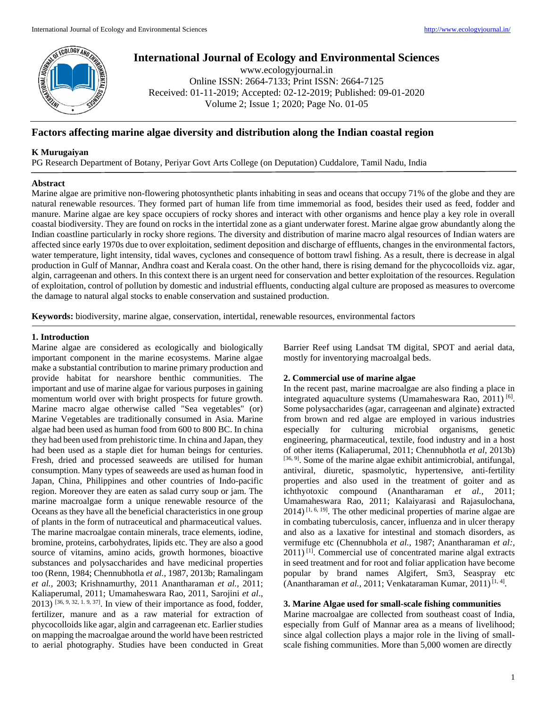

# **International Journal of Ecology and Environmental Sciences**

www.ecologyjournal.in Online ISSN: 2664-7133; Print ISSN: 2664-7125 Received: 01-11-2019; Accepted: 02-12-2019; Published: 09-01-2020 Volume 2; Issue 1; 2020; Page No. 01-05

# **Factors affecting marine algae diversity and distribution along the Indian coastal region**

# **K Murugaiyan**

PG Research Department of Botany, Periyar Govt Arts College (on Deputation) Cuddalore, Tamil Nadu, India

## **Abstract**

Marine algae are primitive non-flowering photosynthetic plants inhabiting in seas and oceans that occupy 71% of the globe and they are natural renewable resources. They formed part of human life from time immemorial as food, besides their used as feed, fodder and manure. Marine algae are key space occupiers of rocky shores and interact with other organisms and hence play a key role in overall coastal biodiversity. They are found on rocks in the intertidal zone as a giant underwater forest. Marine algae grow abundantly along the Indian coastline particularly in rocky shore regions. The diversity and distribution of marine macro algal resources of Indian waters are affected since early 1970s due to over exploitation, sediment deposition and discharge of effluents, changes in the environmental factors, water temperature, light intensity, tidal waves, cyclones and consequence of bottom trawl fishing. As a result, there is decrease in algal production in Gulf of Mannar, Andhra coast and Kerala coast. On the other hand, there is rising demand for the phycocolloids viz. agar, algin, carrageenan and others. In this context there is an urgent need for conservation and better exploitation of the resources. Regulation of exploitation, control of pollution by domestic and industrial effluents, conducting algal culture are proposed as measures to overcome the damage to natural algal stocks to enable conservation and sustained production.

**Keywords:** biodiversity, marine algae, conservation, intertidal, renewable resources, environmental factors

# **1. Introduction**

Marine algae are considered as ecologically and biologically important component in the marine ecosystems. Marine algae make a substantial contribution to marine primary production and provide habitat for nearshore benthic communities. The important and use of marine algae for various purposes in gaining momentum world over with bright prospects for future growth. Marine macro algae otherwise called "Sea vegetables" (or) Marine Vegetables are traditionally consumed in Asia. Marine algae had been used as human food from 600 to 800 BC. In china they had been used from prehistoric time. In china and Japan, they had been used as a staple diet for human beings for centuries. Fresh, dried and processed seaweeds are utilised for human consumption. Many types of seaweeds are used as human food in Japan, China, Philippines and other countries of Indo-pacific region. Moreover they are eaten as salad curry soup or jam. The marine macroalgae form a unique renewable resource of the Oceans as they have all the beneficial characteristics in one group of plants in the form of nutraceutical and pharmaceutical values. The marine macroalgae contain minerals, trace elements, iodine, bromine, proteins, carbohydrates, lipids etc. They are also a good source of vitamins, amino acids, growth hormones, bioactive substances and polysaccharides and have medicinal properties too (Renn, 1984; Chennubhotla *et al.,* 1987, 2013b; Ramalingam *et al.,* 2003; Krishnamurthy, 2011 Anantharaman *et al.,* 2011; Kaliaperumal, 2011; Umamaheswara Rao, 2011, Sarojini *et al*.,  $2013$ ) [36, 9, 32, 1. 9, 37]. In view of their importance as food, fodder, fertilizer, manure and as a raw material for extraction of phycocolloids like agar, algin and carrageenan etc. Earlier studies on mapping the macroalgae around the world have been restricted to aerial photography. Studies have been conducted in Great

Barrier Reef using Landsat TM digital, SPOT and aerial data, mostly for inventorying macroalgal beds.

# **2. Commercial use of marine algae**

In the recent past, marine macroalgae are also finding a place in integrated aquaculture systems (Umamaheswara Rao, 2011)<sup>[6]</sup>. Some polysaccharides (agar, carrageenan and alginate) extracted from brown and red algae are employed in various industries especially for culturing microbial organisms, genetic engineering, pharmaceutical, textile, food industry and in a host of other items (Kaliaperumal, 2011; Chennubhotla *et al,* 2013b) [36, 9]. Some of the marine algae exhibit antimicrobial, antifungal, antiviral, diuretic, spasmolytic, hypertensive, anti-fertility properties and also used in the treatment of goiter and as ichthyotoxic compound (Anantharaman *et al.,* 2011; Umamaheswara Rao, 2011; Kalaiyarasi and Rajasulochana,  $2014$ )<sup>[1, 6, 19]</sup>. The other medicinal properties of marine algae are in combating tuberculosis, cancer, influenza and in ulcer therapy and also as a laxative for intestinal and stomach disorders, as vermifuge etc (Chennubhola *et al.,* 1987; Anantharaman *et al:,* 2011) [1]. Commercial use of concentrated marine algal extracts in seed treatment and for root and foliar application have become popular by brand names Algifert, Sm3, Seaspray etc (Anantharaman et al., 2011; Venkataraman Kumar, 2011)<sup>[1, 4]</sup>.

## **3. Marine Algae used for small-scale fishing communities**

Marine macroalgae are collected from southeast coast of India, especially from Gulf of Mannar area as a means of livelihood; since algal collection plays a major role in the living of smallscale fishing communities. More than 5,000 women are directly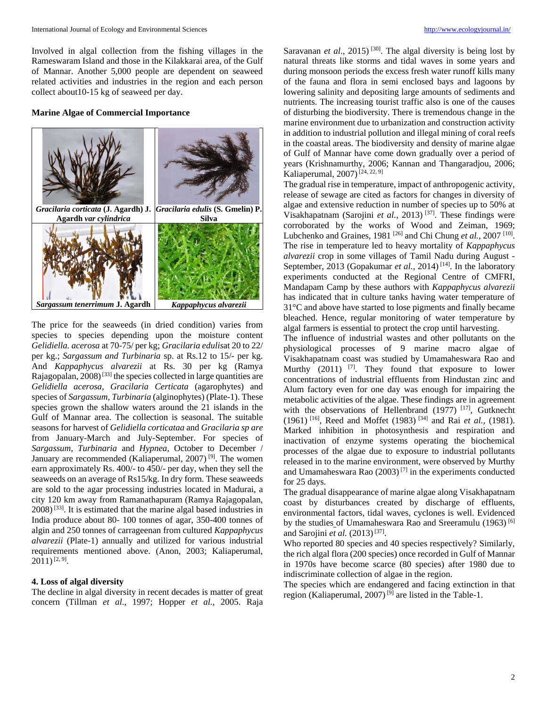Involved in algal collection from the fishing villages in the Rameswaram Island and those in the Kilakkarai area, of the Gulf of Mannar. Another 5,000 people are dependent on seaweed related activities and industries in the region and each person collect about10-15 kg of seaweed per day.

#### **Marine Algae of Commercial Importance**



The price for the seaweeds (in dried condition) varies from species to species depending upon the moisture content *Gelidiella. acerosa* at 70-75/ per kg; *Gracilaria edulis*at 20 to 22/ per kg.; *Sargassum and Turbinaria* sp. at Rs.12 to 15/- per kg. And *Kappaphycus alvarezii* at Rs. 30 per kg (Ramya Rajagopalan, 2008)<sup>[33]</sup> the species collected in large quantities are *Gelidiella acerosa, Gracilaria Certicata* (agarophytes) and species of *Sargassum, Turbinaria* (alginophytes) (Plate-1). These species grown the shallow waters around the 21 islands in the Gulf of Mannar area. The collection is seasonal. The suitable seasons for harvest of *Gelidiella corticataa* and *Gracilaria sp are* from January-March and July-September. For species of *Sargassum, Turbinaria* and *Hypnea,* October to December / January are recommended (Kaliaperumal, 2007)<sup>[9]</sup>. The women earn approximately Rs. 400/- to 450/- per day, when they sell the seaweeds on an average of Rs15/kg. In dry form. These seaweeds are sold to the agar processing industries located in Madurai, a city 120 km away from Ramanathapuram (Ramya Rajagopalan,  $2008$ <sup>[33]</sup>. It is estimated that the marine algal based industries in India produce about 80- 100 tonnes of agar, 350-400 tonnes of algin and 250 tonnes of carrageenan from cultured *Kappaphycus alvarezii* (Plate-1) annually and utilized for various industrial requirements mentioned above. (Anon, 2003; Kaliaperumal,  $2011)$ <sup>[2, 9]</sup>.

#### **4. Loss of algal diversity**

The decline in algal diversity in recent decades is matter of great concern (Tillman *et al*., 1997; Hopper *et al.,* 2005. Raja

Saravanan *et al.*, 2015)<sup>[30]</sup>. The algal diversity is being lost by natural threats like storms and tidal waves in some years and during monsoon periods the excess fresh water runoff kills many of the fauna and flora in semi enclosed bays and lagoons by lowering salinity and depositing large amounts of sediments and nutrients. The increasing tourist traffic also is one of the causes of disturbing the biodiversity. There is tremendous change in the marine environment due to urbanization and construction activity in addition to industrial pollution and illegal mining of coral reefs in the coastal areas. The biodiversity and density of marine algae of Gulf of Mannar have come down gradually over a period of years (Krishnamurthy, 2006; Kannan and Thangaradjou, 2006; Kaliaperumal, 2007)<sup>[24, 22, 9]</sup>

The gradual rise in temperature, impact of anthropogenic activity, release of sewage are cited as factors for changes in diversity of algae and extensive reduction in number of species up to 50% at Visakhapatnam (Sarojini *et al.,* 2013) [37]. These findings were corroborated by the works of Wood and Zeiman, 1969; Lubchenko and Graines, 1981<sup>[26]</sup> and Chi Chung *et al.*, 2007<sup>[10]</sup>. The rise in temperature led to heavy mortality of *Kappaphycus alvarezii* crop in some villages of Tamil Nadu during August - September, 2013 (Gopakumar *et al.*, 2014)<sup>[14]</sup>. In the laboratory experiments conducted at the Regional Centre of CMFRI, Mandapam Camp by these authors with *Kappaphycus alvarezii* has indicated that in culture tanks having water temperature of 31°C and above have started to lose pigments and finally became bleached. Hence, regular monitoring of water temperature by algal farmers is essential to protect the crop until harvesting.

The influence of industrial wastes and other pollutants on the physiological processes of 9 marine macro algae of Visakhapatnam coast was studied by Umamaheswara Rao and Murthy  $(2011)$  <sup>[7]</sup>. They found that exposure to lower concentrations of industrial effluents from Hindustan zinc and Alum factory even for one day was enough for impairing the metabolic activities of the algae. These findings are in agreement with the observations of Hellenbrand (1977) [17], Gutknecht (1961) [16], Reed and Moffet (1983) [34] and Rai *et al.,* (1981). Marked inhibition in photosynthesis and respiration and inactivation of enzyme systems operating the biochemical processes of the algae due to exposure to industrial pollutants released in to the marine environment, were observed by Murthy and Umamaheswara Rao (2003) [7] in the experiments conducted for 25 days.

The gradual disappearance of marine algae along Visakhapatnam coast by disturbances created by discharge of effluents, environmental factors, tidal waves, cyclones is well. Evidenced by the studies of Umamaheswara Rao and Sreeramulu (1963)<sup>[6]</sup> and Sarojini et al. (2013)<sup>[37]</sup>.

Who reported 80 species and 40 species respectively? Similarly, the rich algal flora (200 species) once recorded in Gulf of Mannar in 1970s have become scarce (80 species) after 1980 due to indiscriminate collection of algae in the region.

The species which are endangered and facing extinction in that region (Kaliaperumal, 2007)<sup>[9]</sup> are listed in the Table-1.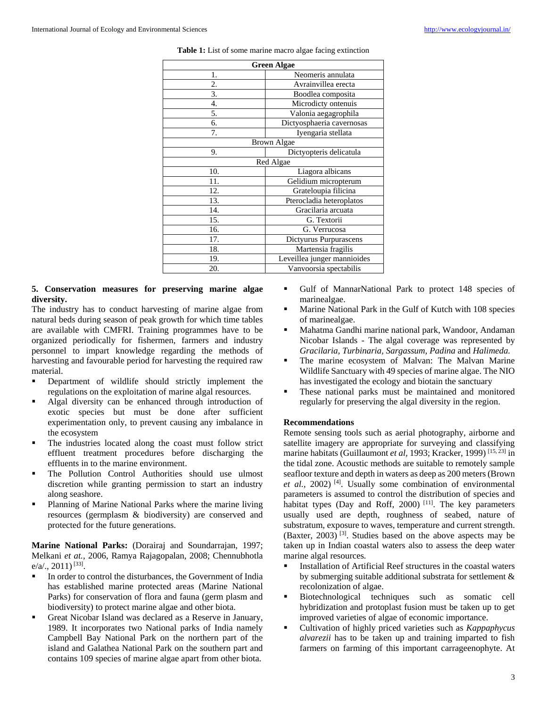| <b>Green Algae</b> |                             |
|--------------------|-----------------------------|
| 1.                 | Neomeris annulata           |
| 2.                 | Avrainvillea erecta         |
| 3.                 | Boodlea composita           |
| 4.                 | Microdicty ontenuis         |
| 5.                 | Valonia aegagrophila        |
| 6.                 | Dictyosphaeria cavernosas   |
| 7.                 | Iyengaria stellata          |
| <b>Brown Algae</b> |                             |
| 9.                 | Dictyopteris delicatula     |
| Red Algae          |                             |
| 10.                | Liagora albicans            |
| 11.                | Gelidium micropterum        |
| 12.                | Grateloupia filicina        |
| 13.                | Pterocladia heteroplatos    |
| 14.                | Gracilaria arcuata          |
| 15.                | G. Textorii                 |
| 16.                | G. Verrucosa                |
| 17.                | Dictyurus Purpurascens      |
| 18.                | Martensia fragilis          |
| 19.                | Leveillea junger mannioides |
| 20.                | Vanvoorsia spectabilis      |

#### **Table 1:** List of some marine macro algae facing extinction

# **5. Conservation measures for preserving marine algae diversity.**

The industry has to conduct harvesting of marine algae from natural beds during season of peak growth for which time tables are available with CMFRI. Training programmes have to be organized periodically for fishermen, farmers and industry personnel to impart knowledge regarding the methods of harvesting and favourable period for harvesting the required raw material.

- Department of wildlife should strictly implement the regulations on the exploitation of marine algal resources.
- Algal diversity can be enhanced through introduction of exotic species but must be done after sufficient experimentation only, to prevent causing any imbalance in the ecosystem
- The industries located along the coast must follow strict effluent treatment procedures before discharging the effluents in to the marine environment.
- The Pollution Control Authorities should use ulmost discretion while granting permission to start an industry along seashore.
- Planning of Marine National Parks where the marine living resources (germplasm & biodiversity) are conserved and protected for the future generations.

**Marine National Parks:** (Dorairaj and Soundarrajan, 1997; Melkani *et at.,* 2006, Ramya Rajagopalan, 2008; Chennubhotla  $e/a/., 2011$ )<sup>[33]</sup>.

- In order to control the disturbances, the Government of India has established marine protected areas (Marine National Parks) for conservation of flora and fauna (germ plasm and biodiversity) to protect marine algae and other biota.
- Great Nicobar Island was declared as a Reserve in January, 1989. It incorporates two National parks of India namely Campbell Bay National Park on the northern part of the island and Galathea National Park on the southern part and contains 109 species of marine algae apart from other biota.
- Gulf of MannarNational Park to protect 148 species of marinealgae.
- **Marine National Park in the Gulf of Kutch with 108 species** of marinealgae.
- Mahatma Gandhi marine national park, Wandoor, Andaman Nicobar Islands - The algal coverage was represented by *Gracilaria, Turbinaria, Sargassum, Padina* and *Halimeda.*
- The marine ecosystem of Malvan: The Malvan Marine Wildlife Sanctuary with 49 species of marine algae. The NIO has investigated the ecology and biotain the sanctuary
- These national parks must be maintained and monitored regularly for preserving the algal diversity in the region.

# **Recommendations**

Remote sensing tools such as aerial photography, airborne and satellite imagery are appropriate for surveying and classifying marine habitats (Guillaumont *et al*, 1993; Kracker, 1999)<sup>[15, 23]</sup> in the tidal zone. Acoustic methods are suitable to remotely sample seafloor texture and depth in waters as deep as 200 meters (Brown *et al.,* 2002) [4]. Usually some combination of environmental parameters is assumed to control the distribution of species and habitat types (Day and Roff, 2000)<sup>[11]</sup>. The key parameters usually used are depth, roughness of seabed, nature of substratum, exposure to waves, temperature and current strength.  $(B$ axter, 2003)<sup>[3]</sup>. Studies based on the above aspects may be taken up in Indian coastal waters also to assess the deep water marine algal resources.

- Installation of Artificial Reef structures in the coastal waters by submerging suitable additional substrata for settlement & recolonization of algae.
- Biotechnological techniques such as somatic cell hybridization and protoplast fusion must be taken up to get improved varieties of algae of economic importance.
- Cultivation of highly priced varieties such as *Kappaphycus alvarezii* has to be taken up and training imparted to fish farmers on farming of this important carrageenophyte. At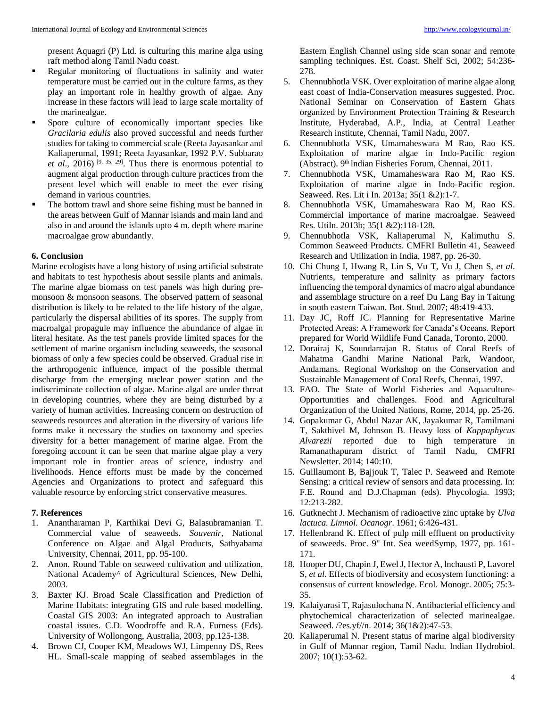present Aquagri (P) Ltd. is culturing this marine alga using raft method along Tamil Nadu coast.

- Regular monitoring of fluctuations in salinity and water temperature must be carried out in the culture farms, as they play an important role in healthy growth of algae. Any increase in these factors will lead to large scale mortality of the marinealgae.
- Spore culture of economically important species like *Gracilaria edulis* also proved successful and needs further studies for taking to commercial scale (Reeta Jayasankar and Kaliaperumal, 1991; Reeta Jayasankar, 1992 P.V. Subbarao *et al.*, 2016) <sup>[9, 35, 29]. Thus there is enormous potential to</sup> augment algal production through culture practices from the present level which will enable to meet the ever rising demand in various countries.
- The bottom trawl and shore seine fishing must be banned in the areas between Gulf of Mannar islands and main land and also in and around the islands upto 4 m. depth where marine macroalgae grow abundantly.

# **6. Conclusion**

Marine ecologists have a long history of using artificial substrate and habitats to test hypothesis about sessile plants and animals. The marine algae biomass on test panels was high during premonsoon & monsoon seasons. The observed pattern of seasonal distribution is likely to be related to the life history of the algae, particularly the dispersal abilities of its spores. The supply from macroalgal propagule may influence the abundance of algae in literal hesitate. As the test panels provide limited spaces for the settlement of marine organism including seaweeds, the seasonal biomass of only a few species could be observed. Gradual rise in the arthropogenic influence, impact of the possible thermal discharge from the emerging nuclear power station and the indiscriminate collection of algae. Marine algal are under threat in developing countries, where they are being disturbed by a variety of human activities. Increasing concern on destruction of seaweeds resources and alteration in the diversity of various life forms make it necessary the studies on taxonomy and species diversity for a better management of marine algae. From the foregoing account it can be seen that marine algae play a very important role in frontier areas of science, industry and livelihoods. Hence efforts must be made by the concerned Agencies and Organizations to protect and safeguard this valuable resource by enforcing strict conservative measures.

## **7. References**

- 1. Anantharaman P, Karthikai Devi G, Balasubramanian T. Commercial value of seaweeds. *Souvenir,* National Conference on Algae and Algal Products, Sathyabama University, Chennai, 2011, pp. 95-100.
- 2. Anon. Round Table on seaweed cultivation and utilization, National Academy^ of Agricultural Sciences, New Delhi, 2003.
- 3. Baxter KJ. Broad Scale Classification and Prediction of Marine Habitats: integrating GIS and rule based modelling. Coastal GIS 2003: An integrated approach to Australian coastal issues. C.D. Woodroffe and R.A. Furness (Eds). University of Wollongong, Australia, 2003, pp.125-138.
- 4. Brown CJ, Cooper KM, Meadows WJ, Limpenny DS, Rees HL. Small-scale mapping of seabed assemblages in the

Eastern English Channel using side scan sonar and remote sampling techniques. Est. *C*oast. Shelf Sci, 2002; 54:236- 278.

- 5. Chennubhotla VSK. Over exploitation of marine algae along east coast of India-Conservation measures suggested. Proc. National Seminar on Conservation of Eastern Ghats organized by Environment Protection Training & Research Institute, Hyderabad, A.P., India, at Central Leather Research institute, Chennai, Tamil Nadu, 2007.
- 6. Chennubhotla VSK, Umamaheswara M Rao, Rao KS. Exploitation of marine algae in Indo-Pacific region (Abstract). 9<sup>th</sup> Indian Fisheries Forum, Chennai, 2011.
- 7. Chennubhotla VSK, Umamaheswara Rao M, Rao KS. Exploitation of marine algae in Indo-Pacific region. Seaweed. Res. Lit i In. 2013a; 35(1 &2):1-7.
- 8. Chennubhotla VSK, Umamaheswara Rao M, Rao KS. Commercial importance of marine macroalgae. Seaweed Res. Utiln. 2013b; 35(1 &2):118-128.
- 9. Chennubhotla VSK, Kaliaperumal N, Kalimuthu S. Common Seaweed Products. CMFRI Bulletin 41, Seaweed Research and Utilization in India, 1987, pp. 26-30.
- 10. Chi Chung I, Hwang R, Lin S, Vu T, Vu J, Chen S, *et al*. Nutrients, temperature and salinity as primary factors influencing the temporal dynamics of macro algal abundance and assemblage structure on a reef Du Lang Bay in Taitung in south eastern Taiwan. Bot. Stud. 2007; 48:419-433.
- 11. Day JC, Roff JC. Planning for Representative Marine Protected Areas: A Framework for Canada's Oceans. Report prepared for World Wildlife Fund Canada, Toronto, 2000.
- 12. Dorairaj K, Soundarrajan R. Status of Coral Reefs of Mahatma Gandhi Marine National Park, Wandoor, Andamans. Regional Workshop on the Conservation and Sustainable Management of Coral Reefs, Chennai, 1997.
- 13. FAO. The State of World Fisheries and Aquaculture-Opportunities and challenges. Food and Agricultural Organization of the United Nations, Rome, 2014, pp. 25-26.
- 14. Gopakumar G, Abdul Nazar AK, Jayakumar R, Tamilmani T, Sakthivel M, Johnson B. Heavy loss of *Kappaphycus Alvarezii* reported due to high temperature in Ramanathapuram district of Tamil Nadu, CMFRI Newsletter. 2014; 140:10.
- 15. Guillaumont B, Bajjouk T, Talec P. Seaweed and Remote Sensing: a critical review of sensors and data processing. In: F.E. Round and D.J.Chapman (eds). Phycologia. 1993; 12:213-282.
- 16. Gutknecht J. Mechanism of radioactive zinc uptake by *Ulva lactuca. Limnol. Ocanogr*. 1961; 6:426-431.
- 17. Hellenbrand K. Effect of pulp mill effluent on productivity of seaweeds. Proc. 9" Int. Sea weedSymp, 1977, pp. 161- 171.
- 18. Hooper DU, Chapin J, Ewel J, Hector A, lnchausti P, Lavorel S, *et al*. Effects of biodiversity and ecosystem functioning: a consensus of current knowledge. Ecol. Monogr. 2005; 75:3- 35.
- 19. Kalaiyarasi T, Rajasulochana N. Antibacterial efficiency and phytochemical characterization of selected marinealgae. Seaweed. /?es.yf//n. 2014; 36(1&2):47-53.
- 20. Kaliaperumal N. Present status of marine algal biodiversity in Gulf of Mannar region, Tamil Nadu. Indian Hydrobiol. 2007; 10(1):53-62.